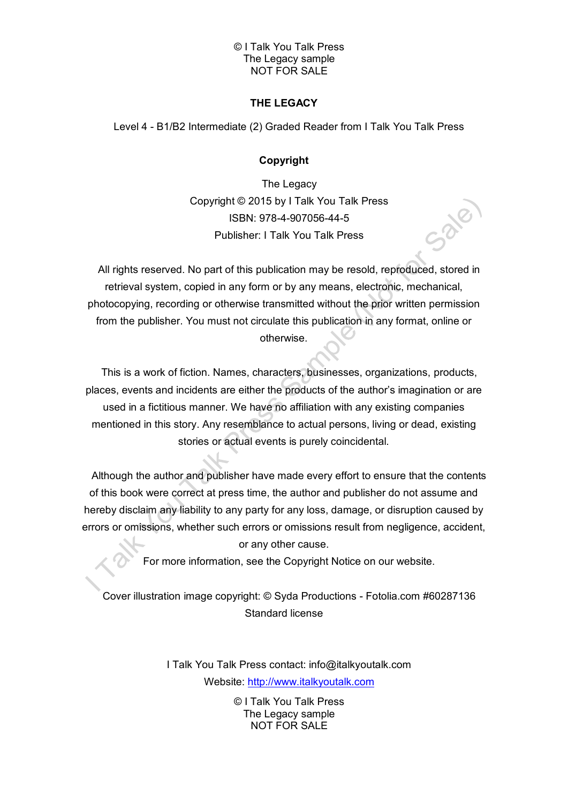# **THE LEGACY**

Level 4 - B1/B2 Intermediate (2) Graded Reader from I Talk You Talk Press

# **Copyright**

The Legacy Copyright © 2015 by I Talk You Talk Press ISBN: 978-4-907056-44-5 Publisher: I Talk You Talk Press

All rights reserved. No part of this publication may be resold, reproduced, stored in retrieval system, copied in any form or by any means, electronic, mechanical, photocopying, recording or otherwise transmitted without the prior written permission from the publisher. You must not circulate this publication in any format, online or otherwise.

This is a work of fiction. Names, characters, businesses, organizations, products, places, events and incidents are either the products of the author's imagination or are used in a fictitious manner. We have no affiliation with any existing companies mentioned in this story. Any resemblance to actual persons, living or dead, existing stories or actual events is purely coincidental.

Although the author and publisher have made every effort to ensure that the contents of this book were correct at press time, the author and publisher do not assume and hereby disclaim any liability to any party for any loss, damage, or disruption caused by errors or omissions, whether such errors or omissions result from negligence, accident, or any other cause.

For more information, see the Copyright Notice on our website.

Cover illustration image copyright: © Syda Productions - Fotolia.com #60287136 Standard license

> I Talk You Talk Press contact: info@italkyoutalk.com Website: [http://www.italkyoutalk.com](http://www.italkyoutalk.com/)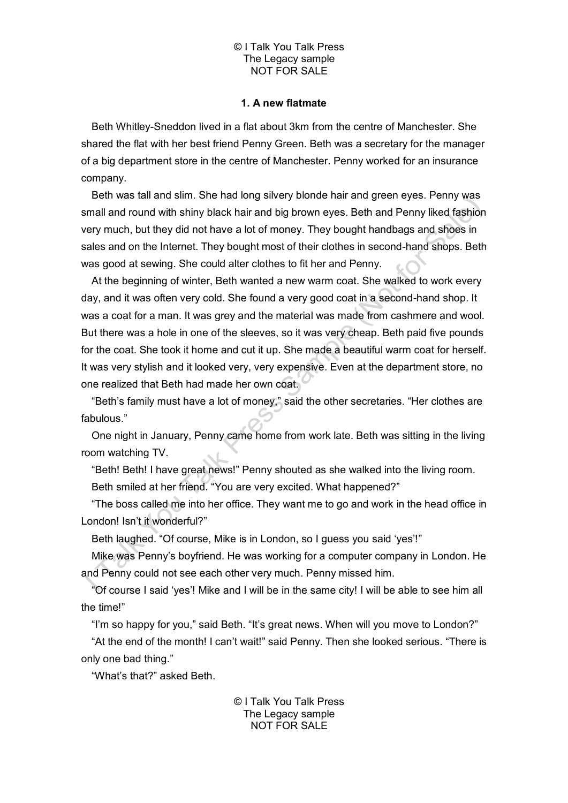## **1. A new flatmate**

Beth Whitley-Sneddon lived in a flat about 3km from the centre of Manchester. She shared the flat with her best friend Penny Green. Beth was a secretary for the manager of a big department store in the centre of Manchester. Penny worked for an insurance company.

Beth was tall and slim. She had long silvery blonde hair and green eyes. Penny was small and round with shiny black hair and big brown eyes. Beth and Penny liked fashion very much, but they did not have a lot of money. They bought handbags and shoes in sales and on the Internet. They bought most of their clothes in second-hand shops. Beth was good at sewing. She could alter clothes to fit her and Penny.

At the beginning of winter, Beth wanted a new warm coat. She walked to work every day, and it was often very cold. She found a very good coat in a second-hand shop. It was a coat for a man. It was grey and the material was made from cashmere and wool. But there was a hole in one of the sleeves, so it was very cheap. Beth paid five pounds for the coat. She took it home and cut it up. She made a beautiful warm coat for herself. It was very stylish and it looked very, very expensive. Even at the department store, no one realized that Beth had made her own coat.

"Beth's family must have a lot of money," said the other secretaries. "Her clothes are fabulous."

One night in January, Penny came home from work late. Beth was sitting in the living room watching TV.

"Beth! Beth! I have great news!" Penny shouted as she walked into the living room. Beth smiled at her friend. "You are very excited. What happened?"

"The boss called me into her office. They want me to go and work in the head office in London! Isn't it wonderful?"

Beth laughed. "Of course, Mike is in London, so I guess you said 'yes'!"

Mike was Penny's boyfriend. He was working for a computer company in London. He and Penny could not see each other very much. Penny missed him.

"Of course I said 'yes'! Mike and I will be in the same city! I will be able to see him all the time!"

"I'm so happy for you," said Beth. "It's great news. When will you move to London?"

"At the end of the month! I can't wait!" said Penny. Then she looked serious. "There is only one bad thing."

"What's that?" asked Beth.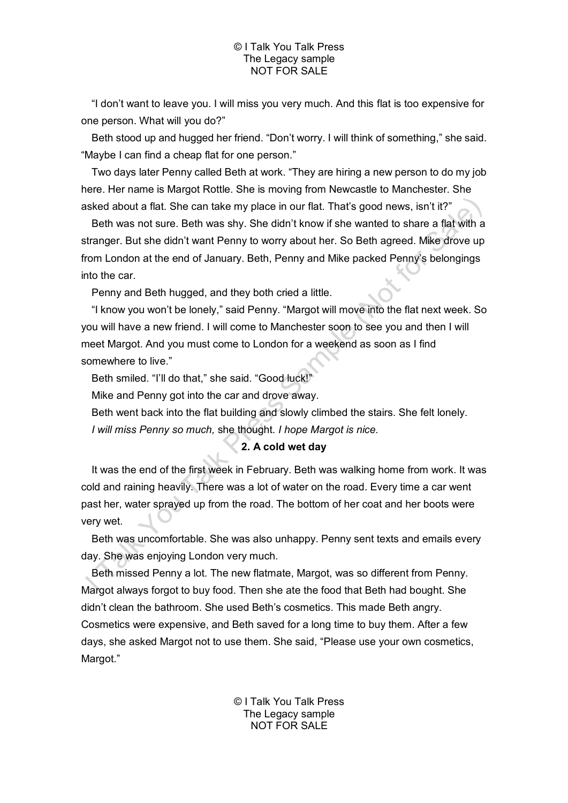"I don't want to leave you. I will miss you very much. And this flat is too expensive for one person. What will you do?"

Beth stood up and hugged her friend. "Don't worry. I will think of something," she said. "Maybe I can find a cheap flat for one person."

Two days later Penny called Beth at work. "They are hiring a new person to do my job here. Her name is Margot Rottle. She is moving from Newcastle to Manchester. She asked about a flat. She can take my place in our flat. That's good news, isn't it?"

Beth was not sure. Beth was shy. She didn't know if she wanted to share a flat with a stranger. But she didn't want Penny to worry about her. So Beth agreed. Mike drove up from London at the end of January. Beth, Penny and Mike packed Penny's belongings into the car.

Penny and Beth hugged, and they both cried a little.

"I know you won't be lonely," said Penny. "Margot will move into the flat next week. So you will have a new friend. I will come to Manchester soon to see you and then I will meet Margot. And you must come to London for a weekend as soon as I find somewhere to live."

Beth smiled. "I'll do that," she said. "Good luck!"

Mike and Penny got into the car and drove away.

Beth went back into the flat building and slowly climbed the stairs. She felt lonely. *I will miss Penny so much,* she thought. *I hope Margot is nice.*

# **2. A cold wet day**

It was the end of the first week in February. Beth was walking home from work. It was cold and raining heavily. There was a lot of water on the road. Every time a car went past her, water sprayed up from the road. The bottom of her coat and her boots were very wet.

Beth was uncomfortable. She was also unhappy. Penny sent texts and emails every day. She was enjoying London very much.

Beth missed Penny a lot. The new flatmate, Margot, was so different from Penny. Margot always forgot to buy food. Then she ate the food that Beth had bought. She didn't clean the bathroom. She used Beth's cosmetics. This made Beth angry. Cosmetics were expensive, and Beth saved for a long time to buy them. After a few days, she asked Margot not to use them. She said, "Please use your own cosmetics, Margot."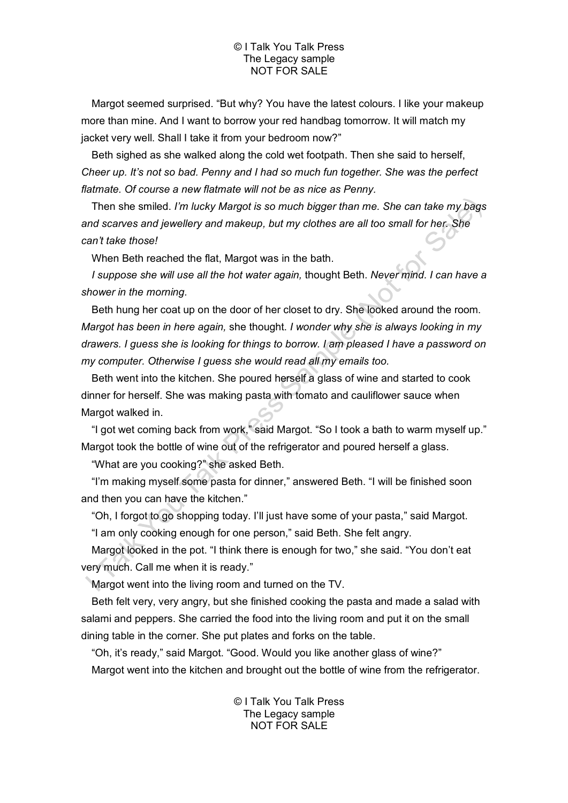Margot seemed surprised. "But why? You have the latest colours. I like your makeup more than mine. And I want to borrow your red handbag tomorrow. It will match my jacket very well. Shall I take it from your bedroom now?"

Beth sighed as she walked along the cold wet footpath. Then she said to herself, *Cheer up. It's not so bad. Penny and I had so much fun together. She was the perfect flatmate. Of course a new flatmate will not be as nice as Penny.*

Then she smiled. *I'm lucky Margot is so much bigger than me. She can take my bags and scarves and jewellery and makeup, but my clothes are all too small for her. She can't take those!*

When Beth reached the flat, Margot was in the bath.

*I suppose she will use all the hot water again,* thought Beth. *Never mind. I can have a shower in the morning.*

Beth hung her coat up on the door of her closet to dry. She looked around the room. *Margot has been in here again,* she thought. *I wonder why she is always looking in my drawers. I guess she is looking for things to borrow. I am pleased I have a password on my computer. Otherwise I guess she would read all my emails too.*

Beth went into the kitchen. She poured herself a glass of wine and started to cook dinner for herself. She was making pasta with tomato and cauliflower sauce when Margot walked in.

"I got wet coming back from work," said Margot. "So I took a bath to warm myself up." Margot took the bottle of wine out of the refrigerator and poured herself a glass.

"What are you cooking?" she asked Beth.

"I'm making myself some pasta for dinner," answered Beth. "I will be finished soon and then you can have the kitchen."

"Oh, I forgot to go shopping today. I'll just have some of your pasta," said Margot.

"I am only cooking enough for one person," said Beth. She felt angry.

Margot looked in the pot. "I think there is enough for two," she said. "You don't eat very much. Call me when it is ready."

Margot went into the living room and turned on the TV.

Beth felt very, very angry, but she finished cooking the pasta and made a salad with salami and peppers. She carried the food into the living room and put it on the small dining table in the corner. She put plates and forks on the table.

"Oh, it's ready," said Margot. "Good. Would you like another glass of wine?" Margot went into the kitchen and brought out the bottle of wine from the refrigerator.